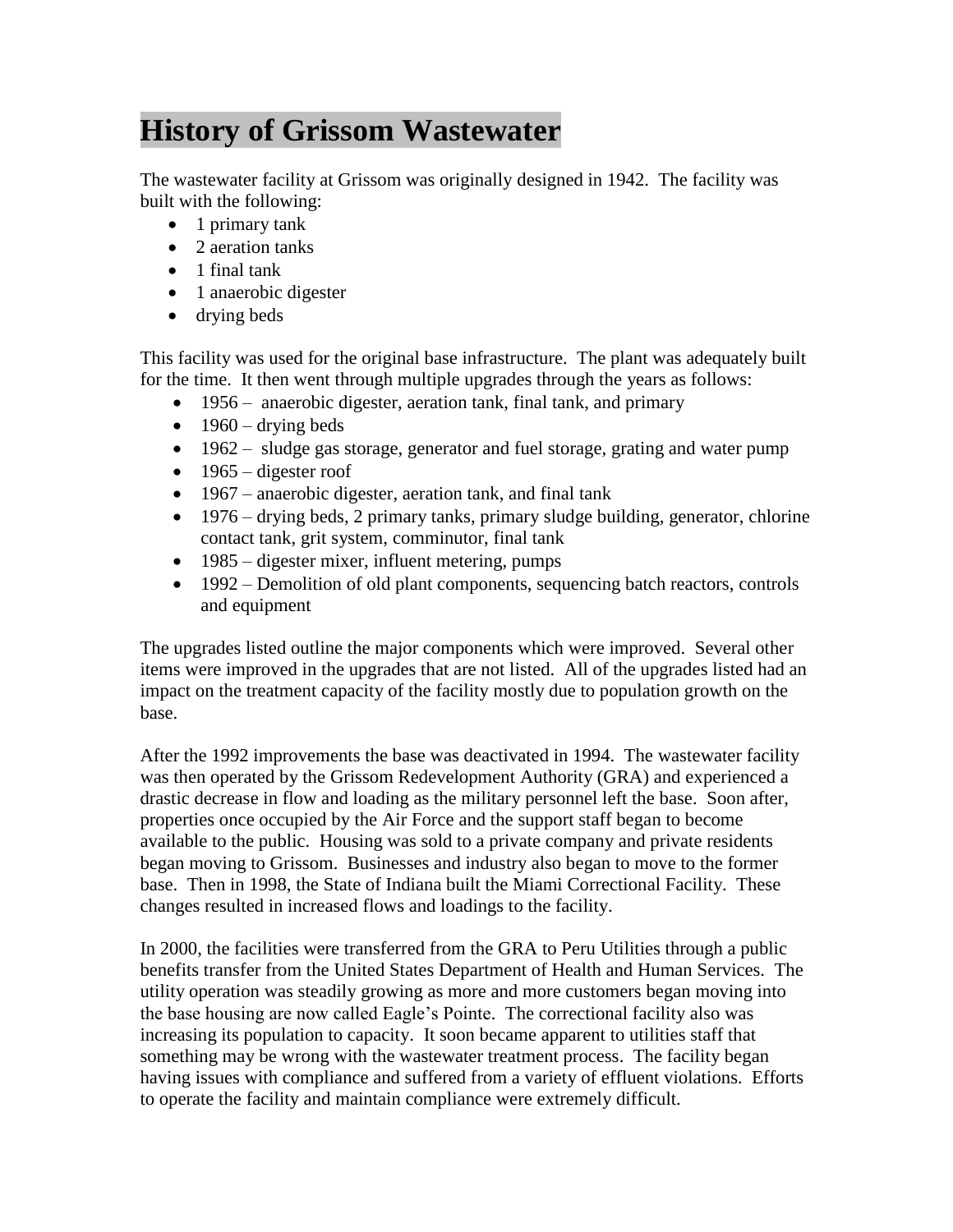## **History of Grissom Wastewater**

The wastewater facility at Grissom was originally designed in 1942. The facility was built with the following:

- 1 primary tank
- 2 aeration tanks
- 1 final tank
- 1 anaerobic digester
- drying beds

This facility was used for the original base infrastructure. The plant was adequately built for the time. It then went through multiple upgrades through the years as follows:

- 1956 anaerobic digester, aeration tank, final tank, and primary
- $\bullet$  1960 drying beds
- 1962 sludge gas storage, generator and fuel storage, grating and water pump
- $\bullet$  1965 digester roof
- 1967 anaerobic digester, aeration tank, and final tank
- 1976 drying beds, 2 primary tanks, primary sludge building, generator, chlorine contact tank, grit system, comminutor, final tank
- $\bullet$  1985 digester mixer, influent metering, pumps
- 1992 Demolition of old plant components, sequencing batch reactors, controls and equipment

The upgrades listed outline the major components which were improved. Several other items were improved in the upgrades that are not listed. All of the upgrades listed had an impact on the treatment capacity of the facility mostly due to population growth on the base.

After the 1992 improvements the base was deactivated in 1994. The wastewater facility was then operated by the Grissom Redevelopment Authority (GRA) and experienced a drastic decrease in flow and loading as the military personnel left the base. Soon after, properties once occupied by the Air Force and the support staff began to become available to the public. Housing was sold to a private company and private residents began moving to Grissom. Businesses and industry also began to move to the former base. Then in 1998, the State of Indiana built the Miami Correctional Facility. These changes resulted in increased flows and loadings to the facility.

In 2000, the facilities were transferred from the GRA to Peru Utilities through a public benefits transfer from the United States Department of Health and Human Services. The utility operation was steadily growing as more and more customers began moving into the base housing are now called Eagle's Pointe. The correctional facility also was increasing its population to capacity. It soon became apparent to utilities staff that something may be wrong with the wastewater treatment process. The facility began having issues with compliance and suffered from a variety of effluent violations. Efforts to operate the facility and maintain compliance were extremely difficult.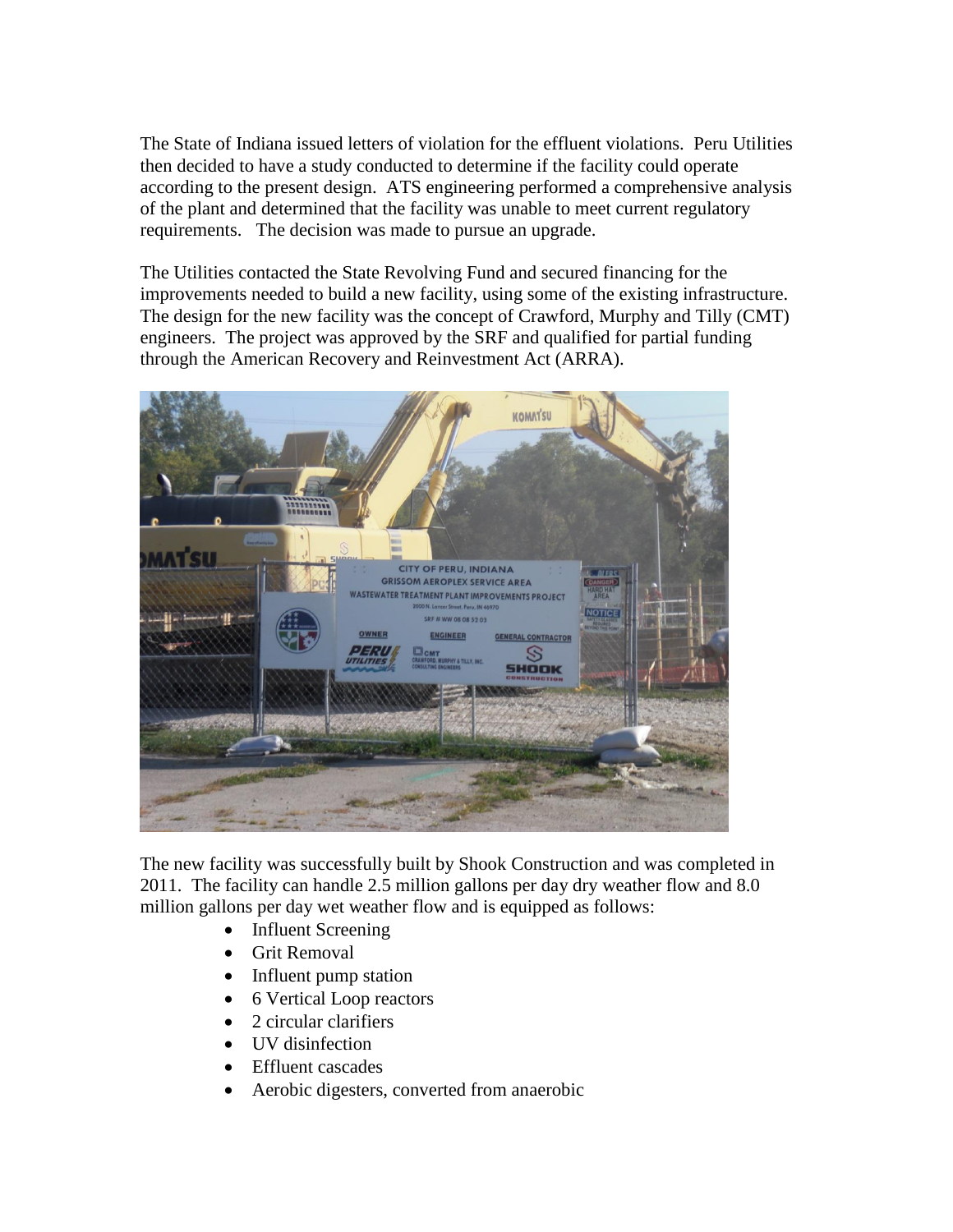The State of Indiana issued letters of violation for the effluent violations. Peru Utilities then decided to have a study conducted to determine if the facility could operate according to the present design. ATS engineering performed a comprehensive analysis of the plant and determined that the facility was unable to meet current regulatory requirements. The decision was made to pursue an upgrade.

The Utilities contacted the State Revolving Fund and secured financing for the improvements needed to build a new facility, using some of the existing infrastructure. The design for the new facility was the concept of Crawford, Murphy and Tilly (CMT) engineers. The project was approved by the SRF and qualified for partial funding through the American Recovery and Reinvestment Act (ARRA).



The new facility was successfully built by Shook Construction and was completed in 2011. The facility can handle 2.5 million gallons per day dry weather flow and 8.0 million gallons per day wet weather flow and is equipped as follows:

- Influent Screening
- **•** Grit Removal
- Influent pump station
- 6 Vertical Loop reactors
- 2 circular clarifiers
- UV disinfection
- Effluent cascades
- Aerobic digesters, converted from anaerobic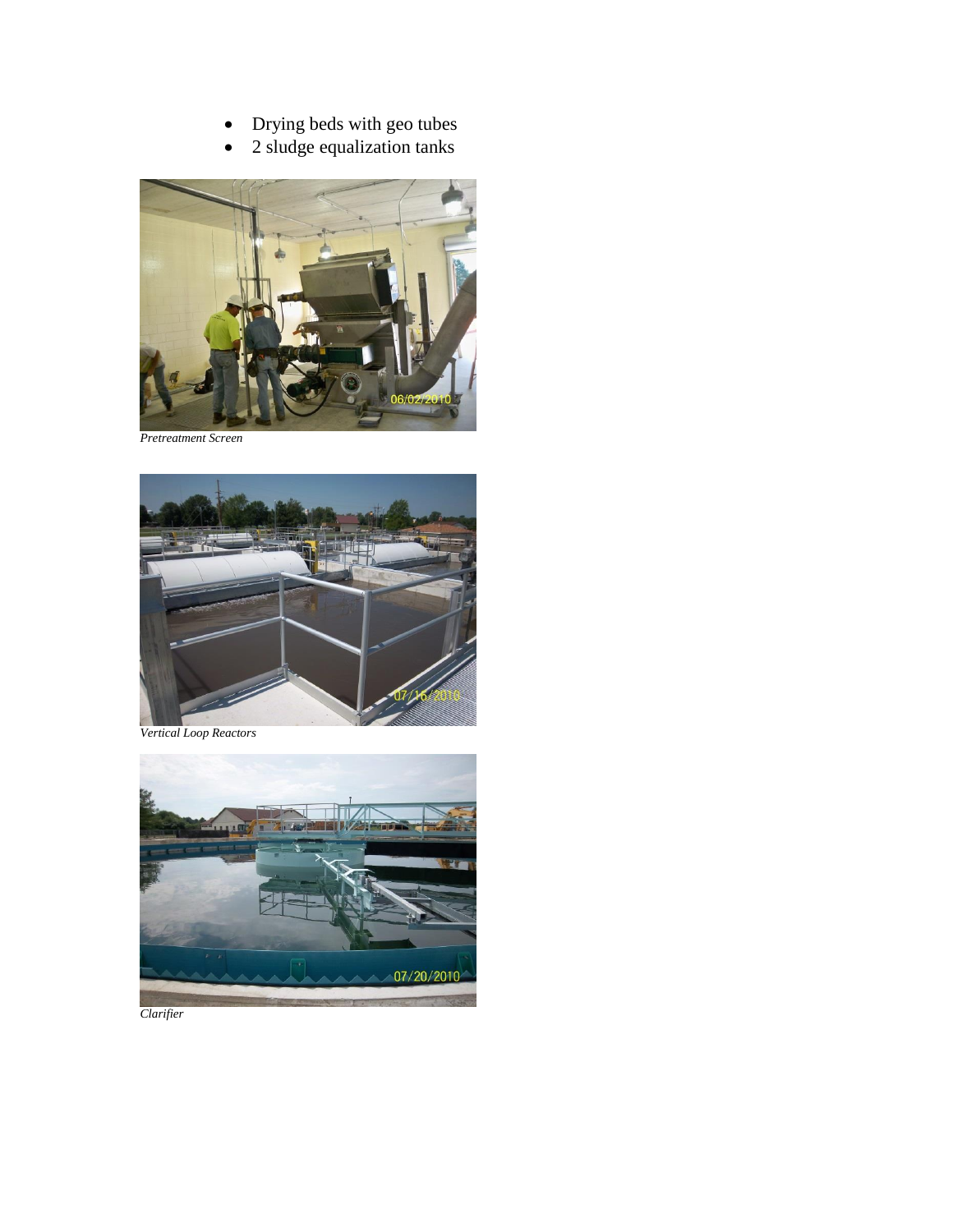- Drying beds with geo tubes
- 2 sludge equalization tanks



*Pretreatment Screen*



*Vertical Loop Reactors*



*Clarifier*